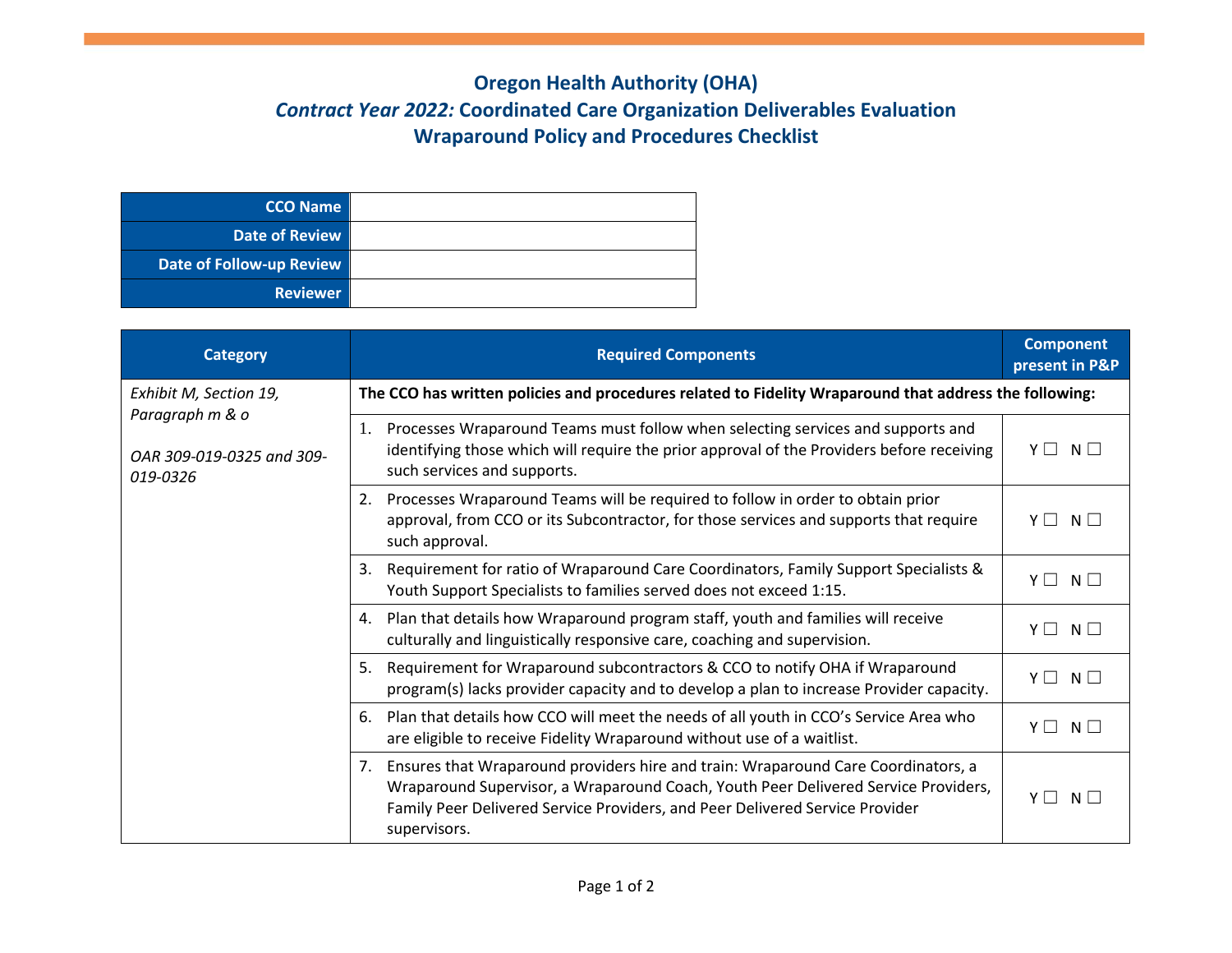## **Oregon Health Authority (OHA)** *Contract Year 2022:* **Coordinated Care Organization Deliverables Evaluation Wraparound Policy and Procedures Checklist**

| CCO Name                 |  |
|--------------------------|--|
| <b>Date of Review</b>    |  |
| Date of Follow-up Review |  |
| <b>Reviewer</b>          |  |

| <b>Category</b>                                                                    | <b>Required Components</b>                                                                                                                                                                                                                                                    | <b>Component</b><br>present in P&P |  |
|------------------------------------------------------------------------------------|-------------------------------------------------------------------------------------------------------------------------------------------------------------------------------------------------------------------------------------------------------------------------------|------------------------------------|--|
| Exhibit M, Section 19,<br>Paragraph m & o<br>OAR 309-019-0325 and 309-<br>019-0326 | The CCO has written policies and procedures related to Fidelity Wraparound that address the following:                                                                                                                                                                        |                                    |  |
|                                                                                    | Processes Wraparound Teams must follow when selecting services and supports and<br>1.<br>identifying those which will require the prior approval of the Providers before receiving<br>such services and supports.                                                             | YII<br>$N \Box$                    |  |
|                                                                                    | Processes Wraparound Teams will be required to follow in order to obtain prior<br>2.<br>approval, from CCO or its Subcontractor, for those services and supports that require<br>such approval.                                                                               | YII<br>$N \mid$                    |  |
|                                                                                    | Requirement for ratio of Wraparound Care Coordinators, Family Support Specialists &<br>3.<br>Youth Support Specialists to families served does not exceed 1:15.                                                                                                               | $Y \Box$<br>$N \Box$               |  |
|                                                                                    | Plan that details how Wraparound program staff, youth and families will receive<br>4.<br>culturally and linguistically responsive care, coaching and supervision.                                                                                                             | $Y \Box$<br>$N \Box$               |  |
|                                                                                    | Requirement for Wraparound subcontractors & CCO to notify OHA if Wraparound<br>5.<br>program(s) lacks provider capacity and to develop a plan to increase Provider capacity.                                                                                                  | $N \Box$<br>YII                    |  |
|                                                                                    | Plan that details how CCO will meet the needs of all youth in CCO's Service Area who<br>6.<br>are eligible to receive Fidelity Wraparound without use of a waitlist.                                                                                                          | YII<br>$N \mid$                    |  |
|                                                                                    | Ensures that Wraparound providers hire and train: Wraparound Care Coordinators, a<br>7.<br>Wraparound Supervisor, a Wraparound Coach, Youth Peer Delivered Service Providers,<br>Family Peer Delivered Service Providers, and Peer Delivered Service Provider<br>supervisors. | YII<br>N L                         |  |